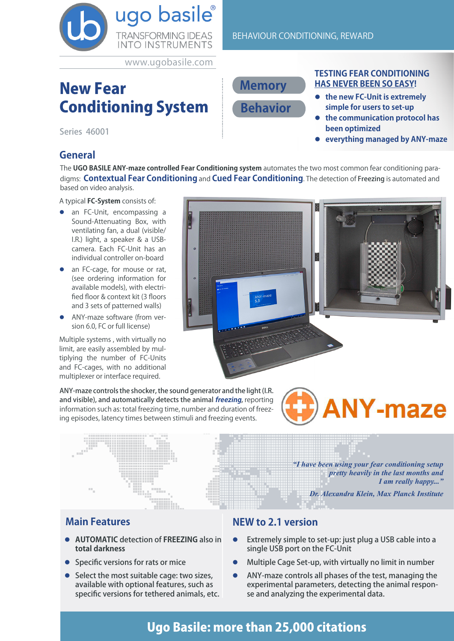

www.ugobasile.com

# New Fear Conditioning System

Series 46001

# **General**

The **UGO BASILE ANY-maze controlled Fear Conditioning system** automates the two most common fear conditioning paradigms: **Contextual Fear Conditioning** and **Cued Fear Conditioning**. The detection of Freezing is automated and based on video analysis.

A typical **FC-System** consists of:

- an FC-Unit, encompassing a Sound-Attenuating Box, with ventilating fan, a dual (visible/ I.R.) light, a speaker & a USBcamera. Each FC-Unit has an individual controller on-board
- an FC-cage, for mouse or rat, (see ordering information for available models), with electrified floor & context kit (3 floors and 3 sets of patterned walls)
- ANY-maze software (from version 6.0, FC or full license)

Multiple systems , with virtually no limit, are easily assembled by multiplying the number of FC-Units and FC-cages, with no additional multiplexer or interface required.

**TESTING FEAR CONDITIONING HAS NEVER BEEN SO EASY!**

- **•** the new FC-Unit is extremely **simple for users to set-up**
- $\bullet$  the communication protocol has **been optimized**
- **exerything managed by ANY-maze**

# **Main Features**

**• AUTOMATIC** detection of **FREEZING** also in **total darkness**

ing episodes, latency times between stimuli and freezing events.

- **Specific versions for rats or mice**
- Select the most suitable cage: two sizes, available with optional features, such as specific versions for tethered animals, etc.

### **NEW to 2.1 version**

- Extremely simple to set-up: just plug a USB cable into a single USB port on the FC-Unit
- l Multiple Cage Set-up, with virtually no limit in number
- l ANY-maze controls all phases of the test, managing the experimental parameters, detecting the animal response and analyzing the experimental data.

# Ugo Basile: more than 25,000 citations

ANY-maze controls the shocker, the sound generator and the light (I.R. and visible), and automatically detects the animal **freezing**, reporting **NY-maze** information such as: total freezing time, number and duration of freez-

*"I have been using your fear conditioning setup* 

*Dr. Alexandra Klein, Max Planck Institute*

*pretty heavily in the last months and* 

*I am really happy..."* 

**Memory Behavior**

BEHAVIOUR CONDITIONING, REWARD